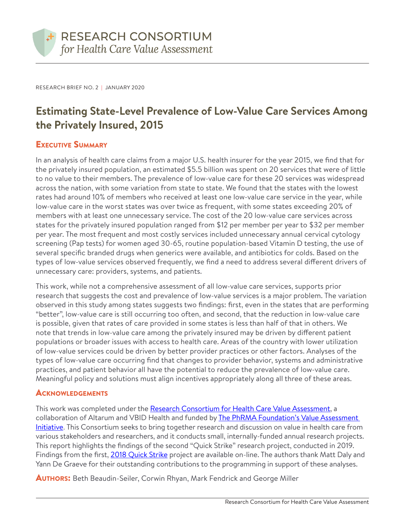

RESEARCH BRIEF NO. 2 | JANUARY 2020

# **Estimating State-Level Prevalence of Low-Value Care Services Among the Privately Insured, 2015**

### Executive Summary

In an analysis of health care claims from a major U.S. health insurer for the year 2015, we find that for the privately insured population, an estimated \$5.5 billion was spent on 20 services that were of little to no value to their members. The prevalence of low-value care for these 20 services was widespread across the nation, with some variation from state to state. We found that the states with the lowest rates had around 10% of members who received at least one low-value care service in the year, while low-value care in the worst states was over twice as frequent, with some states exceeding 20% of members with at least one unnecessary service. The cost of the 20 low-value care services across states for the privately insured population ranged from \$12 per member per year to \$32 per member per year. The most frequent and most costly services included unnecessary annual cervical cytology screening (Pap tests) for women aged 30-65, routine population-based Vitamin D testing, the use of several specific branded drugs when generics were available, and antibiotics for colds. Based on the types of low-value services observed frequently, we find a need to address several different drivers of unnecessary care: providers, systems, and patients.

This work, while not a comprehensive assessment of all low-value care services, supports prior research that suggests the cost and prevalence of low-value services is a major problem. The variation observed in this study among states suggests two findings: first, even in the states that are performing "better", low-value care is still occurring too often, and second, that the reduction in low-value care is possible, given that rates of care provided in some states is less than half of that in others. We note that trends in low-value care among the privately insured may be driven by different patient populations or broader issues with access to health care. Areas of the country with lower utilization of low-value services could be driven by better provider practices or other factors. Analyses of the types of low-value care occurring find that changes to provider behavior, systems and administrative practices, and patient behavior all have the potential to reduce the prevalence of low-value care. Meaningful policy and solutions must align incentives appropriately along all three of these areas.

#### **ACKNOWLEDGEMENTS**

This work was completed under the [Research Consortium for Health Care Value Assessment](https://www.hcvalueassessment.org/), a collaboration of Altarum and VBID Health and funded by [The PhRMA Foundation's Value Assessment](http://www.phrmafoundation.org/2018-awards/value-assessment-initiative/)  [Initiative.](http://www.phrmafoundation.org/2018-awards/value-assessment-initiative/) This Consortium seeks to bring together research and discussion on value in health care from various stakeholders and researchers, and it conducts small, internally-funded annual research projects. This report highlights the findings of the second "Quick Strike" research project, conducted in 2019. Findings from the first, [2018 Quick Strike project](https://www.hcvalueassessment.org/application/files/5915/5853/6278/Research_Consortium_Research_Brief_No._1.pdf) are available on-line. The authors thank Matt Daly and Yann De Graeve for their outstanding contributions to the programming in support of these analyses.

**AUTHORS:** Beth Beaudin-Seiler, Corwin Rhyan, Mark Fendrick and George Miller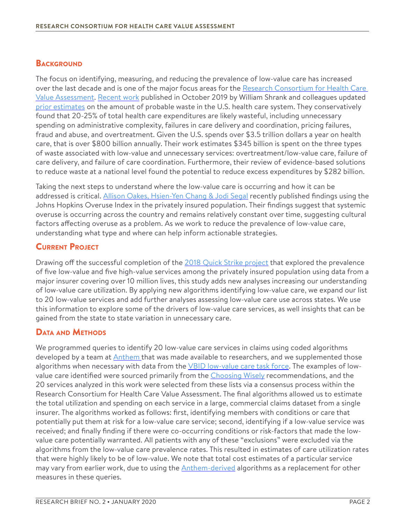#### **BACKGROUND**

The focus on identifying, measuring, and reducing the prevalence of low-value care has increased over the last decade and is one of the major focus areas for the Research Consortium for Health Care [Value Assessment](https://www.hcvalueassessment.org/application/files/5915/5853/6278/Research_Consortium_Research_Brief_No._1.pdf). [Recent work](https://jamanetwork.com/journals/jama/fullarticle/2752664) published in October 2019 by William Shrank and colleagues updated [prior estimates](https://jamanetwork.com/journals/jama/fullarticle/1148376) on the amount of probable waste in the U.S. health care system. They conservatively found that 20-25% of total health care expenditures are likely wasteful, including unnecessary spending on administrative complexity, failures in care delivery and coordination, pricing failures, fraud and abuse, and overtreatment. Given the U.S. spends over \$3.5 trillion dollars a year on health care, that is over \$800 billion annually. Their work estimates \$345 billion is spent on the three types of waste associated with low-value and unnecessary services: overtreatment/low-value care, failure of care delivery, and failure of care coordination. Furthermore, their review of evidence-based solutions to reduce waste at a national level found the potential to reduce excess expenditures by \$282 billion.

Taking the next steps to understand where the low-value care is occurring and how it can be addressed is critical. [Allison Oakes, Hsien-Yen Chang & Jodi Segal](https://bmchealthservres.biomedcentral.com/articles/10.1186/s12913-019-4079-0) recently published findings using the Johns Hopkins Overuse Index in the privately insured population. Their findings suggest that systemic overuse is occurring across the country and remains relatively constant over time, suggesting cultural factors affecting overuse as a problem. As we work to reduce the prevalence of low-value care, understanding what type and where can help inform actionable strategies.

# Current Project

Drawing off the successful completion of the [2018 Quick Strike project](https://www.hcvalueassessment.org/application/files/5915/5853/6278/Research_Consortium_Research_Brief_No._1.pdf) that explored the prevalence of five low-value and five high-value services among the privately insured population using data from a major insurer covering over 10 million lives, this study adds new analyses increasing our understanding of low-value care utilization. By applying new algorithms identifying low-value care, we expand our list to 20 low-value services and add further analyses assessing low-value care use across states. We use this information to explore some of the drivers of low-value care services, as well insights that can be gained from the state to state variation in unnecessary care.

### Data and Methods

We programmed queries to identify 20 low-value care services in claims using coded algorithms developed by a team at **Anthem** that was made available to researchers, and we supplemented those algorithms when necessary with data from the *VBID low-value care task force*. The examples of low-value care identified were sourced primarily from the [Choosing Wisely](https://www.choosingwisely.org/) recommendations, and the 20 services analyzed in this work were selected from these lists via a consensus process within the Research Consortium for Health Care Value Assessment. The final algorithms allowed us to estimate the total utilization and spending on each service in a large, commercial claims dataset from a single insurer. The algorithms worked as follows: first, identifying members with conditions or care that potentially put them at risk for a low-value care service; second, identifying if a low-value service was received; and finally finding if there were co-occurring conditions or risk-factors that made the lowvalue care potentially warranted. All patients with any of these "exclusions" were excluded via the algorithms from the low-value care prevalence rates. This resulted in estimates of care utilization rates that were highly likely to be of low-value. We note that total cost estimates of a particular service may vary from earlier work, due to using the **Anthem-derived** algorithms as a replacement for other measures in these queries.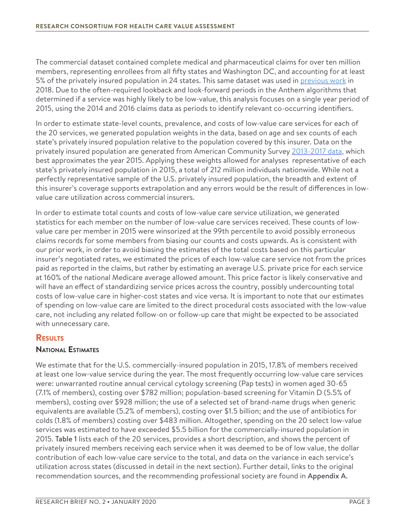The commercial dataset contained complete medical and pharmaceutical claims for over ten million members, representing enrollees from all fifty states and Washington DC, and accounting for at least 5% of the privately insured population in 24 states. This same dataset was used in [previous work](https://www.hcvalueassessment.org/application/files/5915/5853/6278/Research_Consortium_Research_Brief_No._1.pdf) in 2018. Due to the often-required lookback and look-forward periods in the Anthem algorithms that determined if a service was highly likely to be low-value, this analysis focuses on a single year period of 2015, using the 2014 and 2016 claims data as periods to identify relevant co-occurring identifiers.

In order to estimate state-level counts, prevalence, and costs of low-value care services for each of the 20 services, we generated population weights in the data, based on age and sex counts of each state's privately insured population relative to the population covered by this insurer. Data on the privately insured population are generated from American Community Survey [2013-2017 data](https://www.census.gov/newsroom/press-kits/2018/acs-5year.html), which best approximates the year 2015. Applying these weights allowed for analyses representative of each state's privately insured population in 2015, a total of 212 million individuals nationwide. While not a perfectly representative sample of the U.S. privately insured population, the breadth and extent of this insurer's coverage supports extrapolation and any errors would be the result of differences in lowvalue care utilization across commercial insurers.

In order to estimate total counts and costs of low-value care service utilization, we generated statistics for each member on the number of low-value care services received. These counts of lowvalue care per member in 2015 were winsorized at the 99th percentile to avoid possibly erroneous claims records for some members from biasing our counts and costs upwards. As is consistent with our prior work, in order to avoid biasing the estimates of the total costs based on this particular insurer's negotiated rates, we estimated the prices of each low-value care service not from the prices paid as reported in the claims, but rather by estimating an average U.S. private price for each service at 160% of the national Medicare average allowed amount. This price factor is likely conservative and will have an effect of standardizing service prices across the country, possibly undercounting total costs of low-value care in higher-cost states and vice versa. It is important to note that our estimates of spending on low-value care are limited to the direct procedural costs associated with the low-value care, not including any related follow-on or follow-up care that might be expected to be associated with unnecessary care.

# **RESULTS**

#### **National Estimates**

We estimate that for the U.S. commercially-insured population in 2015, 17.8% of members received at least one low-value service during the year. The most frequently occurring low-value care services were: unwarranted routine annual cervical cytology screening (Pap tests) in women aged 30-65 (7.1% of members), costing over \$782 million; population-based screening for Vitamin D (5.5% of members), costing over \$928 million; the use of a selected set of brand-name drugs when generic equivalents are available (5.2% of members), costing over \$1.5 billion; and the use of antibiotics for colds (1.8% of members) costing over \$483 million. Altogether, spending on the 20 select low-value services was estimated to have exceeded \$5.5 billion for the commercially-insured population in 2015. Table 1 lists each of the 20 services, provides a short description, and shows the percent of privately insured members receiving each service when it was deemed to be of low value, the dollar contribution of each low-value care service to the total, and data on the variance in each service's utilization across states (discussed in detail in the next section). Further detail, links to the original recommendation sources, and the recommending professional society are found in Appendix A.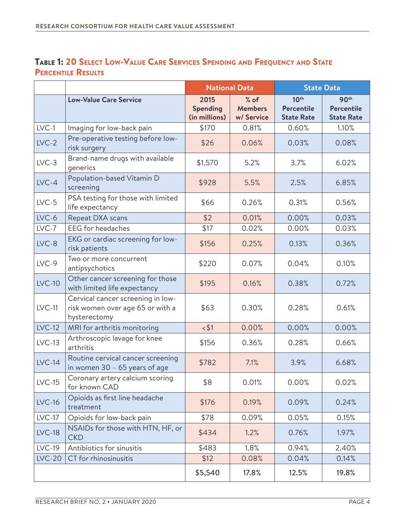# Table 1: 20 Select Low-Value Care Services Spending and Frequency and State PERCENTILE RESULTS

|               |                                                                                       | <b>National Data</b>                     |                                        | <b>State Data</b>                                          |                                                            |
|---------------|---------------------------------------------------------------------------------------|------------------------------------------|----------------------------------------|------------------------------------------------------------|------------------------------------------------------------|
|               | <b>Low-Value Care Service</b>                                                         | 2015<br><b>Spending</b><br>(in millions) | $%$ of<br><b>Members</b><br>w/ Service | 10 <sup>th</sup><br><b>Percentile</b><br><b>State Rate</b> | 90 <sup>th</sup><br><b>Percentile</b><br><b>State Rate</b> |
| $LVC-1$       | Imaging for low-back pain                                                             | \$170                                    | 0.81%                                  | 0.60%                                                      | 1.10%                                                      |
| $LVC-2$       | Pre-operative testing before low-<br>risk surgery                                     | \$26                                     | 0.06%                                  | 0.03%                                                      | 0.08%                                                      |
| $LVC-3$       | Brand-name drugs with available<br>generics                                           | \$1,570                                  | 5.2%                                   | 3.7%                                                       | 6.02%                                                      |
| $LVC-4$       | Population-based Vitamin D<br>screening                                               | \$928                                    | 5.5%                                   | 2.5%                                                       | 6.85%                                                      |
| $LVC-5$       | PSA testing for those with limited<br>life expectancy                                 | \$66                                     | 0.26%                                  | 0.31%                                                      | 0.56%                                                      |
| $LVC-6$       | Repeat DXA scans                                                                      | \$2                                      | 0.01%                                  | 0.00%                                                      | 0.03%                                                      |
| $LVC-7$       | <b>EEG</b> for headaches                                                              | \$17                                     | 0.02%                                  | 0.00%                                                      | 0.03%                                                      |
| $LVC-8$       | EKG or cardiac screening for low-<br>risk patients                                    | \$156                                    | 0.25%                                  | 0.13%                                                      | 0.36%                                                      |
| $LVC-9$       | Two or more concurrent<br>antipsychotics                                              | \$220                                    | 0.07%                                  | 0.04%                                                      | 0.10%                                                      |
| $LVC-10$      | Other cancer screening for those<br>with limited life expectancy                      | \$195                                    | 0.16%                                  | 0.38%                                                      | 0.72%                                                      |
| $LVC-11$      | Cervical cancer screening in low-<br>risk women over age 65 or with a<br>hysterectomy | \$63                                     | 0.30%                                  | 0.28%                                                      | 0.61%                                                      |
| <b>LVC-12</b> | MRI for arthritis monitoring                                                          | $<$ \$1                                  | 0.00%                                  | 0.00%                                                      | 0.00%                                                      |
| $LVC-13$      | Arthroscopic lavage for knee<br>arthritis                                             | \$156                                    | 0.36%                                  | 0.28%                                                      | 0.66%                                                      |
| $LVC-14$      | Routine cervical cancer screening<br>in women 30 - 65 years of age                    | \$782                                    | 7.1%                                   | 3.9%                                                       | 6.68%                                                      |
| $LVC-15$      | Coronary artery calcium scoring<br>for known CAD                                      | \$8                                      | 0.01%                                  | 0.00%                                                      | 0.02%                                                      |
| <b>LVC-16</b> | Opioids as first line headache<br>treatment                                           | \$176                                    | 0.19%                                  | 0.09%                                                      | 0.24%                                                      |
| $LVC-17$      | Opioids for low-back pain                                                             | \$78                                     | 0.09%                                  | 0.05%                                                      | 0.15%                                                      |
| <b>LVC-18</b> | NSAIDs for those with HTN, HF, or<br><b>CKD</b>                                       | \$434                                    | 1.2%                                   | 0.76%                                                      | 1.97%                                                      |
| $LVC-19$      | Antibiotics for sinusitis                                                             | \$483                                    | 1.8%                                   | 0.94%                                                      | 2.40%                                                      |
| $LVC-20$      | CT for rhinosinusitis                                                                 | \$12                                     | 0.08%                                  | 0.04%                                                      | 0.14%                                                      |
|               |                                                                                       | \$5,540                                  | 17.8%                                  | 12.5%                                                      | 19.8%                                                      |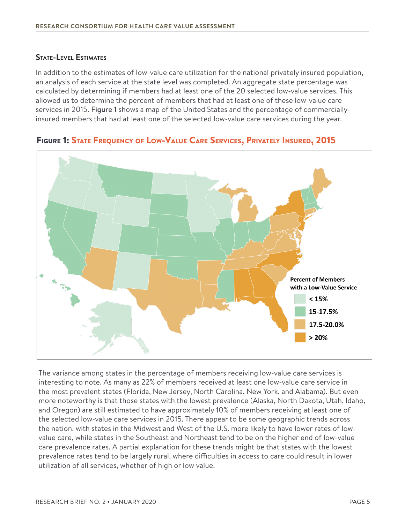#### **State-Level Estimates**

In addition to the estimates of low-value care utilization for the national privately insured population, an analysis of each service at the state level was completed. An aggregate state percentage was calculated by determining if members had at least one of the 20 selected low-value services. This allowed us to determine the percent of members that had at least one of these low-value care services in 2015. Figure 1 shows a map of the United States and the percentage of commerciallyinsured members that had at least one of the selected low-value care services during the year.



Figure 1: State Frequency of Low-Value Care Services, Privately Insured, 2015

The variance among states in the percentage of members receiving low-value care services is interesting to note. As many as 22% of members received at least one low-value care service in the most prevalent states (Florida, New Jersey, North Carolina, New York, and Alabama). But even more noteworthy is that those states with the lowest prevalence (Alaska, North Dakota, Utah, Idaho, and Oregon) are still estimated to have approximately 10% of members receiving at least one of the selected low-value care services in 2015. There appear to be some geographic trends across the nation, with states in the Midwest and West of the U.S. more likely to have lower rates of lowvalue care, while states in the Southeast and Northeast tend to be on the higher end of low-value care prevalence rates. A partial explanation for these trends might be that states with the lowest prevalence rates tend to be largely rural, where difficulties in access to care could result in lower utilization of all services, whether of high or low value.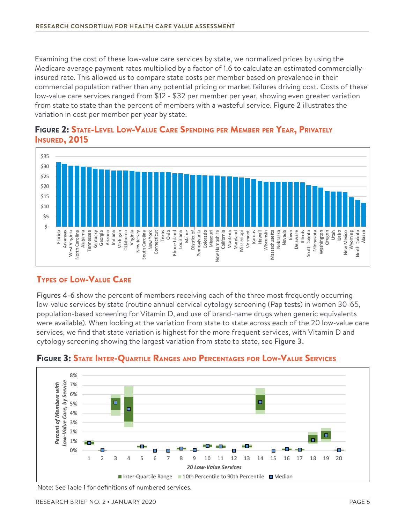Examining the cost of these low-value care services by state, we normalized prices by using the Medicare average payment rates multiplied by a factor of 1.6 to calculate an estimated commerciallyinsured rate. This allowed us to compare state costs per member based on prevalence in their commercial population rather than any potential pricing or market failures driving cost. Costs of these low-value care services ranged from \$12 - \$32 per member per year, showing even greater variation from state to state than the percent of members with a wasteful service. Figure 2 illustrates the variation in cost per member per year by state.



#### Figure 2: State-Level Low-Value Care Spending per Member per Year, Privately **I**nsured, 2015

# Types of Low-Value Care

Figures 4-6 show the percent of members receiving each of the three most frequently occurring low-value services by state (routine annual cervical cytology screening (Pap tests) in women 30-65, population-based screening for Vitamin D, and use of brand-name drugs when generic equivalents were available). When looking at the variation from state to state across each of the 20 low-value care services, we find that state variation is highest for the more frequent services, with Vitamin D and cytology screening showing the largest variation from state to state, see Figure 3.



# Figure 3: State Inter-Quartile Ranges and Percentages for Low-Value Services

Note: See Table 1 for definitions of numbered services.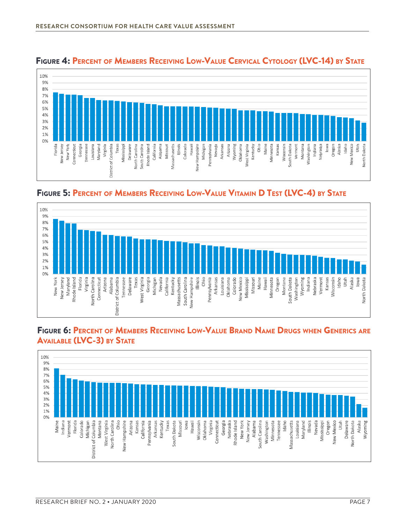

# Figure 4: Percent of Members Receiving Low-Value Cervical Cytology (LVC-14) by State

Figure 5: Percent of Members Receiving Low-Value Vitamin D Test (LVC-4) by State



#### Figure 6: Percent of Members Receiving Low-Value Brand Name Drugs when Generics are **AVAILABLE (LVC-3) BY STATE**

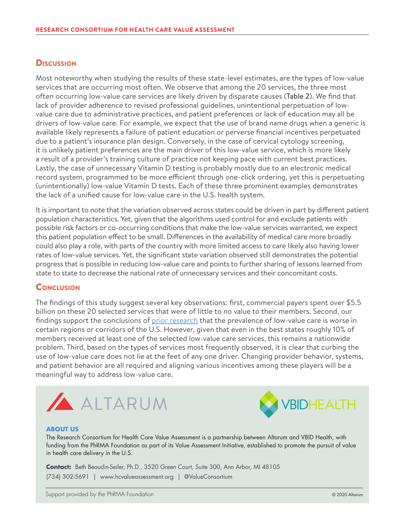#### **Discussion**

Most noteworthy when studying the results of these state-level estimates, are the types of low-value services that are occurring most often. We observe that among the 20 services, the three most often occurring low-value care services are likely driven by disparate causes (Table 2). We find that lack of provider adherence to revised professional guidelines, unintentional perpetuation of lowvalue care due to administrative practices, and patient preferences or lack of education may all be drivers of low-value care. For example, we expect that the use of brand name drugs when a generic is available likely represents a failure of patient education or perverse financial incentives perpetuated due to a patient's insurance plan design. Conversely, in the case of cervical cytology screening, it is unlikely patient preferences are the main driver of this low-value service, which is more likely a result of a provider's training culture of practice not keeping pace with current best practices. Lastly, the case of unnecessary Vitamin D testing is probably mostly due to an electronic medical record system, programmed to be more efficient through one-click ordering, yet this is perpetuating (unintentionally) low-value Vitamin D tests. Each of these three prominent examples demonstrates the lack of a unified cause for low-value care in the U.S. health system.

It is important to note that the variation observed across states could be driven in part by different patient population characteristics. Yet, given that the algorithms used control for and exclude patients with possible risk factors or co-occurring conditions that make the low-value services warranted, we expect this patient population effect to be small. Differences in the availability of medical care more broadly could also play a role, with parts of the country with more limited access to care likely also having lower rates of low-value services. Yet, the significant state variation observed still demonstrates the potential progress that is possible in reducing low-value care and points to further sharing of lessons learned from state to state to decrease the national rate of unnecessary services and their concomitant costs.

#### **CONCLUSION**

The findings of this study suggest several key observations: first, commercial payers spent over \$5.5 billion on these 20 selected services that were of little to no value to their members. Second, our findings support the conclusions of [prior research](https://bmchealthservres.biomedcentral.com/articles/10.1186/s12913-019-4079-0) that the prevalence of low-value care is worse in certain regions or corridors of the U.S. However, given that even in the best states roughly 10% of members received at least one of the selected low-value care services, this remains a nationwide problem. Third, based on the types of services most frequently observed, it is clear that curbing the use of low-value care does not lie at the feet of any one driver. Changing provider behavior, systems, and patient behavior are all required and aligning various incentives among these players will be a meaningful way to address low-value care.





#### **ABOUT US**

The Research Consortium for Health Care Value Assessment is a partnership between Altarum and VBID Health, with funding from the PhRMA Foundation as part of its Value Assessment Initiative, established to promote the pursuit of value in health care delivery in the U.S.

**Contact:** Beth Beaudin-Seiler, Ph.D., 3520 Green Court, Suite 300, Ann Arbor, MI 48105 (734) 302-5691 | [www.hcvalueassessment.org](https://www.hcvalueassessment.org) | @ValueConsortium